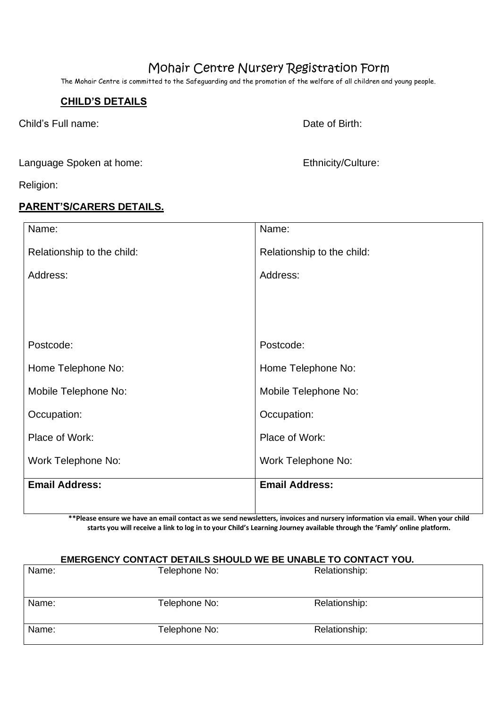# Mohair Centre Nursery Registration Form

The Mohair Centre is committed to the Safeguarding and the promotion of the welfare of all children and young people.

## **CHILD'S DETAILS**

Child's Full name: Date of Birth:

Language Spoken at home: Ethnicity/Culture:

Religion:

## **PARENT'S/CARERS DETAILS.**

| Name:                      | Name:                      |
|----------------------------|----------------------------|
| Relationship to the child: | Relationship to the child: |
| Address:                   | Address:                   |
|                            |                            |
|                            |                            |
| Postcode:                  | Postcode:                  |
| Home Telephone No:         | Home Telephone No:         |
| Mobile Telephone No:       | Mobile Telephone No:       |
| Occupation:                | Occupation:                |
| Place of Work:             | Place of Work:             |
| Work Telephone No:         | Work Telephone No:         |
| <b>Email Address:</b>      | <b>Email Address:</b>      |
|                            |                            |

**\*\*Please ensure we have an email contact as we send newsletters, invoices and nursery information via email. When your child starts you will receive a link to log in to your Child's Learning Journey available through the 'Famly' online platform.**

## **EMERGENCY CONTACT DETAILS SHOULD WE BE UNABLE TO CONTACT YOU.**

| Name: | Telephone No: | Relationship: |
|-------|---------------|---------------|
|       |               |               |
|       |               |               |
| Name: | Telephone No: | Relationship: |
|       |               |               |
| Name: | Telephone No: | Relationship: |
|       |               |               |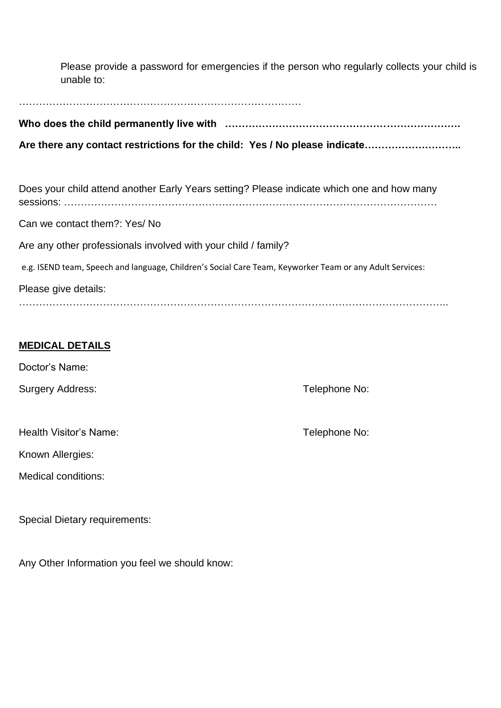Please provide a password for emergencies if the person who regularly collects your child is unable to:

…………………………………………………………………………

**Who does the child permanently live with …………………………………………………………….**

**Are there any contact restrictions for the child: Yes / No please indicate………………………..**

Does your child attend another Early Years setting? Please indicate which one and how many sessions: ………………………………………………………………………………………………… Can we contact them?: Yes/ No Are any other professionals involved with your child / family? e.g. ISEND team, Speech and language, Children's Social Care Team, Keyworker Team or any Adult Services: Please give details: ………………………………………………………………………………………………………………..

# **MEDICAL DETAILS**

Doctor's Name:

Surgery Address: Telephone No:

| Health Visitor's Name: |  |
|------------------------|--|
|                        |  |

Known Allergies:

Medical conditions:

Special Dietary requirements:

Any Other Information you feel we should know:

Telephone No: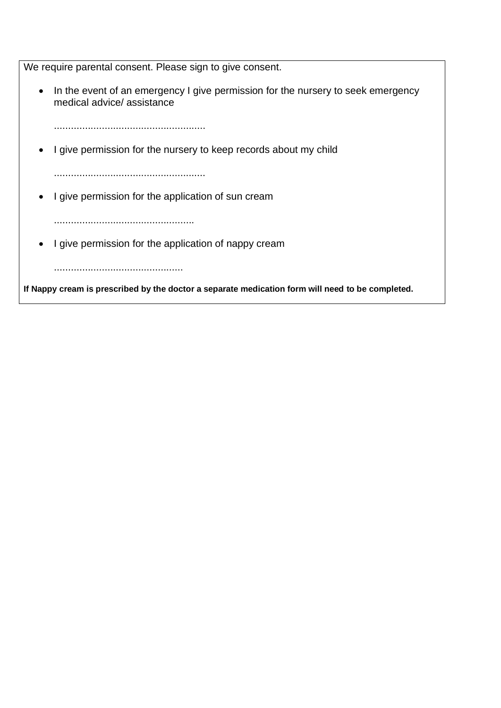We require parental consent. Please sign to give consent.

• In the event of an emergency I give permission for the nursery to seek emergency medical advice/ assistance

......................................................

• I give permission for the nursery to keep records about my child

......................................................

• I give permission for the application of sun cream

..................................................

• I give permission for the application of nappy cream

..............................................

**If Nappy cream is prescribed by the doctor a separate medication form will need to be completed.**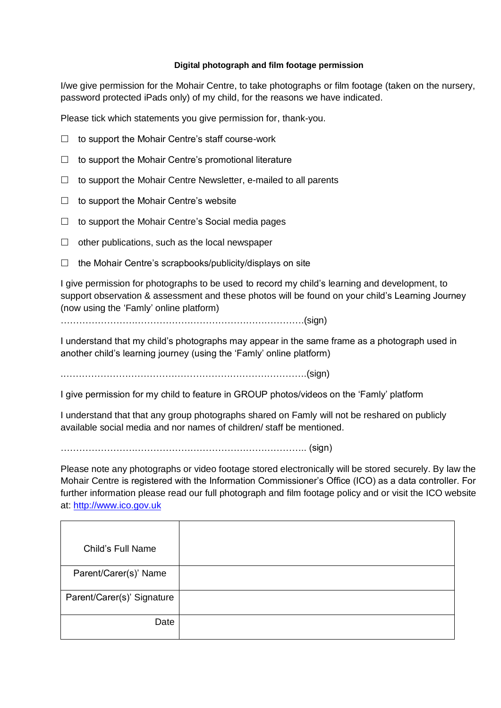### **Digital photograph and film footage permission**

I/we give permission for the Mohair Centre, to take photographs or film footage (taken on the nursery, password protected iPads only) of my child, for the reasons we have indicated.

Please tick which statements you give permission for, thank-you.

- $\Box$  to support the Mohair Centre's staff course-work
- $\Box$  to support the Mohair Centre's promotional literature
- $\Box$  to support the Mohair Centre Newsletter, e-mailed to all parents
- $\Box$  to support the Mohair Centre's website
- $\Box$  to support the Mohair Centre's Social media pages
- $\Box$  other publications, such as the local newspaper
- $\Box$  the Mohair Centre's scrapbooks/publicity/displays on site

I give permission for photographs to be used to record my child's learning and development, to support observation & assessment and these photos will be found on your child's Learning Journey (now using the 'Famly' online platform)

…………………………………………………………………….(sign)

I understand that my child's photographs may appear in the same frame as a photograph used in another child's learning journey (using the 'Famly' online platform)

.…………………………………………………………………….(sign)

I give permission for my child to feature in GROUP photos/videos on the 'Famly' platform

I understand that that any group photographs shared on Famly will not be reshared on publicly available social media and nor names of children/ staff be mentioned.

…………………………………………………………………….. (sign)

Please note any photographs or video footage stored electronically will be stored securely. By law the Mohair Centre is registered with the Information Commissioner's Office (ICO) as a data controller. For further information please read our full photograph and film footage policy and or visit the ICO website at: http://www.ico.gov.uk

| Child's Full Name          |  |
|----------------------------|--|
| Parent/Carer(s)' Name      |  |
| Parent/Carer(s)' Signature |  |
| Date                       |  |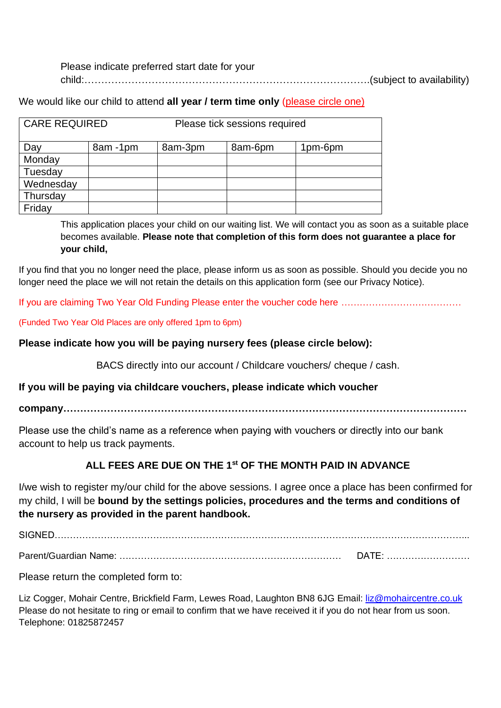Please indicate preferred start date for your child:………………………………………………………………………….(subject to availability)

We would like our child to attend **all year / term time only** (please circle one)

| CARE REQUIRED |         | Please tick sessions required |         |         |
|---------------|---------|-------------------------------|---------|---------|
| Day           | 8am-1pm | 8am-3pm                       | 8am-6pm | 1pm-6pm |
| Monday        |         |                               |         |         |
| Tuesday       |         |                               |         |         |
| Wednesday     |         |                               |         |         |
| Thursday      |         |                               |         |         |
| Friday        |         |                               |         |         |

This application places your child on our waiting list. We will contact you as soon as a suitable place becomes available. **Please note that completion of this form does not guarantee a place for your child,**

If you find that you no longer need the place, please inform us as soon as possible. Should you decide you no longer need the place we will not retain the details on this application form (see our Privacy Notice).

If you are claiming Two Year Old Funding Please enter the voucher code here …………………………………

(Funded Two Year Old Places are only offered 1pm to 6pm)

## **Please indicate how you will be paying nursery fees (please circle below):**

BACS directly into our account / Childcare vouchers/ cheque / cash.

**If you will be paying via childcare vouchers, please indicate which voucher** 

**company…………………………………………………………………………………………………………**

Please use the child's name as a reference when paying with vouchers or directly into our bank account to help us track payments.

# **ALL FEES ARE DUE ON THE 1st OF THE MONTH PAID IN ADVANCE**

I/we wish to register my/our child for the above sessions. I agree once a place has been confirmed for my child, I will be **bound by the settings policies, procedures and the terms and conditions of the nursery as provided in the parent handbook.**

SIGNED……………………………………………………………………………………………………………………...

Parent/Guardian Name: ……………………………………………………………… DATE: ………………………

Please return the completed form to:

Liz Cogger, Mohair Centre, Brickfield Farm, Lewes Road, Laughton BN8 6JG Email: liz@mohaircentre.co.uk Please do not hesitate to ring or email to confirm that we have received it if you do not hear from us soon. Telephone: 01825872457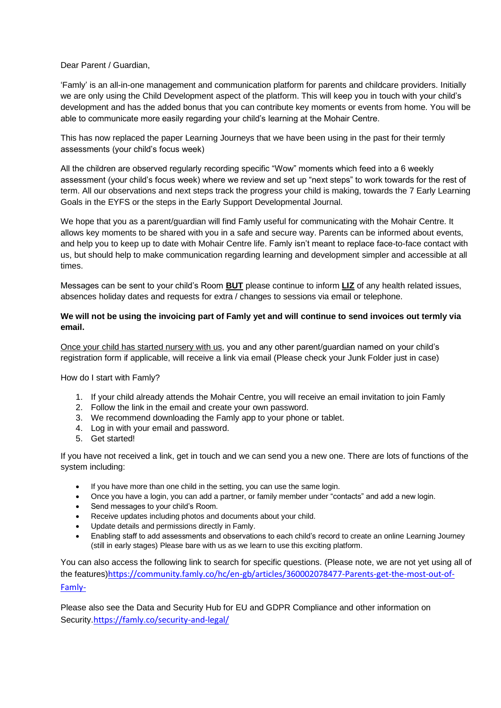#### Dear Parent / Guardian,

'Famly' is an all-in-one management and communication platform for parents and childcare providers. Initially we are only using the Child Development aspect of the platform. This will keep you in touch with your child's development and has the added bonus that you can contribute key moments or events from home. You will be able to communicate more easily regarding your child's learning at the Mohair Centre.

This has now replaced the paper Learning Journeys that we have been using in the past for their termly assessments (your child's focus week)

All the children are observed regularly recording specific "Wow" moments which feed into a 6 weekly assessment (your child's focus week) where we review and set up "next steps" to work towards for the rest of term. All our observations and next steps track the progress your child is making, towards the 7 Early Learning Goals in the EYFS or the steps in the Early Support Developmental Journal.

We hope that you as a parent/guardian will find Famly useful for communicating with the Mohair Centre. It allows key moments to be shared with you in a safe and secure way. Parents can be informed about events, and help you to keep up to date with Mohair Centre life. Famly isn't meant to replace face-to-face contact with us, but should help to make communication regarding learning and development simpler and accessible at all times.

Messages can be sent to your child's Room **BUT** please continue to inform **LIZ** of any health related issues, absences holiday dates and requests for extra / changes to sessions via email or telephone.

#### **We will not be using the invoicing part of Famly yet and will continue to send invoices out termly via email.**

Once your child has started nursery with us, you and any other parent/guardian named on your child's registration form if applicable, will receive a link via email (Please check your Junk Folder just in case)

How do I start with Famly?

- 1. If your child already attends the Mohair Centre, you will receive an email invitation to join Famly
- 2. Follow the link in the email and create your own password.
- 3. We recommend downloading the Famly app to your phone or tablet.
- 4. Log in with your email and password.
- 5. Get started!

If you have not received a link, get in touch and we can send you a new one. There are lots of functions of the system including:

- If you have more than one child in the setting, you can use the same login.
- Once you have a login, you can add a partner, or family member under "contacts" and add a new login.
- Send messages to your child's Room.
- Receive updates including photos and documents about your child.
- Update details and permissions directly in Famly.
- Enabling staff to add assessments and observations to each child's record to create an online Learning Journey (still in early stages) Please bare with us as we learn to use this exciting platform.

You can also access the following link to search for specific questions. (Please note, we are not yet using all of the features)https://community.famly.co/hc/en-gb/articles/360002078477-Parents-get-the-most-out-of-Famly-

Please also see the Data and Security Hub for EU and GDPR Compliance and other information on Security.https://famly.co/security-and-legal/